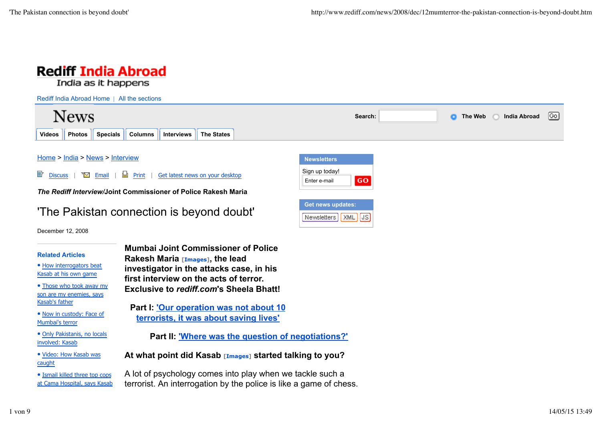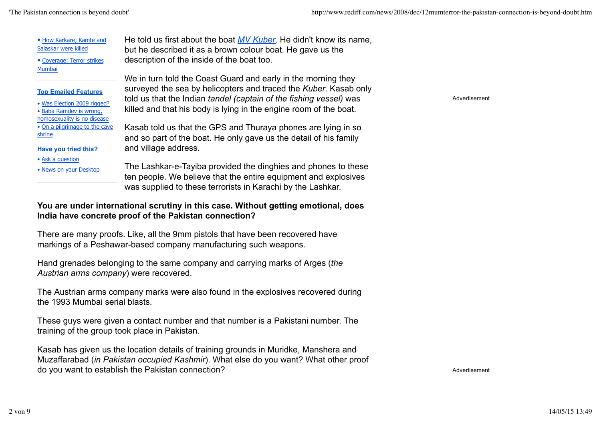Advertisement

| • How Karkare, Kamte and<br>Salaskar were killed                                                                          | He told us first about the boat MV Kuber. He didn't know its name,<br>but he described it as a brown colour boat. He gave us the                                                                                                                                             |
|---------------------------------------------------------------------------------------------------------------------------|------------------------------------------------------------------------------------------------------------------------------------------------------------------------------------------------------------------------------------------------------------------------------|
| • Coverage: Terror strikes                                                                                                | description of the inside of the boat too.                                                                                                                                                                                                                                   |
| Mumbai<br><b>Top Emailed Features</b><br>• Was Election 2009 rigged?                                                      | We in turn told the Coast Guard and early in the morning they<br>surveyed the sea by helicopters and traced the Kuber. Kasab only<br>told us that the Indian tandel (captain of the fishing vessel) was<br>killed and that his body is lying in the engine room of the boat. |
| • Baba Ramdev is wrong,<br>homosexuality is no disease<br>. On a pilgrimage to the cave<br>shrine<br>Have you tried this? | Kasab told us that the GPS and Thuraya phones are lying in so<br>and so part of the boat. He only gave us the detail of his family<br>and village address.                                                                                                                   |
| • Ask a question<br>. News on your Desktop                                                                                | The Lashkar-e-Tayiba provided the dinghies and phones to these<br>ten people. We believe that the entire equipment and explosives<br>was supplied to these terrorists in Karachi by the Lashkar.                                                                             |

# **You are under international scrutiny in this case. Without getting emotional, does India have concrete proof of the Pakistan connection?**

There are many proofs. Like, all the 9mm pistols that have been recovered have markings of a Peshawar-based company manufacturing such weapons.

Hand grenades belonging to the same company and carrying marks of Arges (*the Austrian arms company*) were recovered.

The Austrian arms company marks were also found in the explosives recovered during the 1993 Mumbai serial blasts.

These guys were given a contact number and that number is a Pakistani number. The training of the group took place in Pakistan.

Kasab has given us the location details of training grounds in Muridke, Manshera and Muzaffarabad (*in Pakistan occupied Kashmir*). What else do you want? What other proof do you want to establish the Pakistan connection?

Advertisement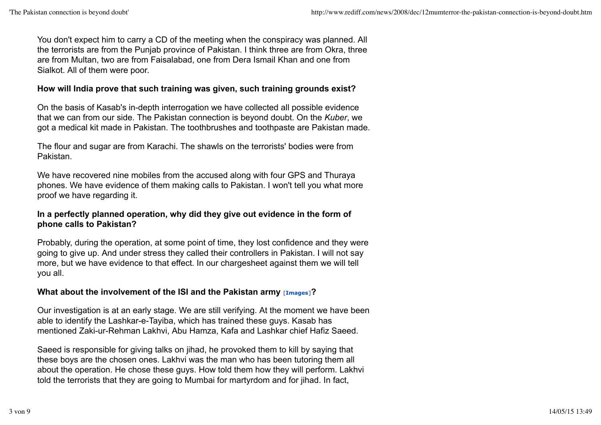You don't expect him to carry a CD of the meeting when the conspiracy was planned. All the terrorists are from the Punjab province of Pakistan. I think three are from Okra, three are from Multan, two are from Faisalabad, one from Dera Ismail Khan and one from Sialkot. All of them were poor.

#### **How will India prove that such training was given, such training grounds exist?**

On the basis of Kasab's in-depth interrogation we have collected all possible evidence that we can from our side. The Pakistan connection is beyond doubt. On the *Kuber*, we got a medical kit made in Pakistan. The toothbrushes and toothpaste are Pakistan made.

The flour and sugar are from Karachi. The shawls on the terrorists' bodies were from Pakistan.

We have recovered nine mobiles from the accused along with four GPS and Thuraya phones. We have evidence of them making calls to Pakistan. I won't tell you what more proof we have regarding it.

## **In a perfectly planned operation, why did they give out evidence in the form of phone calls to Pakistan?**

Probably, during the operation, at some point of time, they lost confidence and they were going to give up. And under stress they called their controllers in Pakistan. I will not say more, but we have evidence to that effect. In our chargesheet against them we will tell you all.

# **What about the involvement of the ISI and the Pakistan army [Images]?**

Our investigation is at an early stage. We are still verifying. At the moment we have been able to identify the Lashkar-e-Tayiba, which has trained these guys. Kasab has mentioned Zaki-ur-Rehman Lakhvi, Abu Hamza, Kafa and Lashkar chief Hafiz Saeed.

Saeed is responsible for giving talks on jihad, he provoked them to kill by saying that these boys are the chosen ones. Lakhvi was the man who has been tutoring them all about the operation. He chose these guys. How told them how they will perform. Lakhvi told the terrorists that they are going to Mumbai for martyrdom and for jihad. In fact,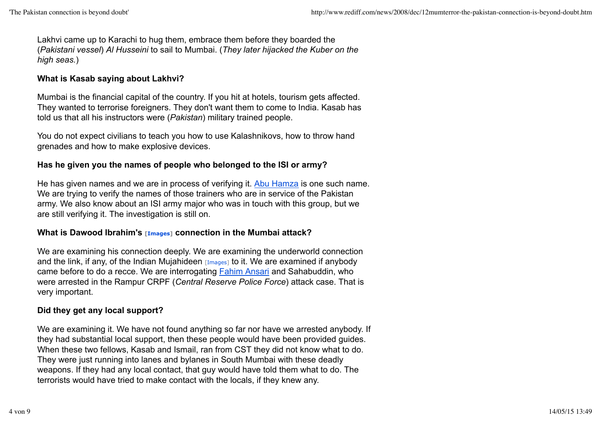Lakhvi came up to Karachi to hug them, embrace them before they boarded the (*Pakistani vessel*) *Al Husseini* to sail to Mumbai. (*They later hijacked the Kuber on the high seas.*)

## **What is Kasab saying about Lakhvi?**

Mumbai is the financial capital of the country. If you hit at hotels, tourism gets affected. They wanted to terrorise foreigners. They don't want them to come to India. Kasab has told us that all his instructors were (*Pakistan*) military trained people.

You do not expect civilians to teach you how to use Kalashnikovs, how to throw hand grenades and how to make explosive devices.

# **Has he given you the names of people who belonged to the ISI or army?**

He has given names and we are in process of verifying it. Abu Hamza is one such name. We are trying to verify the names of those trainers who are in service of the Pakistan army. We also know about an ISI army major who was in touch with this group, but we are still verifying it. The investigation is still on.

# **What is Dawood Ibrahim's [Images] connection in the Mumbai attack?**

We are examining his connection deeply. We are examining the underworld connection and the link, if any, of the Indian Mujahideen  $[Image]$  to it. We are examined if anybody came before to do a recce. We are interrogating Fahim Ansari and Sahabuddin, who were arrested in the Rampur CRPF (*Central Reserve Police Force*) attack case. That is very important.

# **Did they get any local support?**

We are examining it. We have not found anything so far nor have we arrested anybody. If they had substantial local support, then these people would have been provided guides. When these two fellows, Kasab and Ismail, ran from CST they did not know what to do. They were just running into lanes and bylanes in South Mumbai with these deadly weapons. If they had any local contact, that guy would have told them what to do. The terrorists would have tried to make contact with the locals, if they knew any.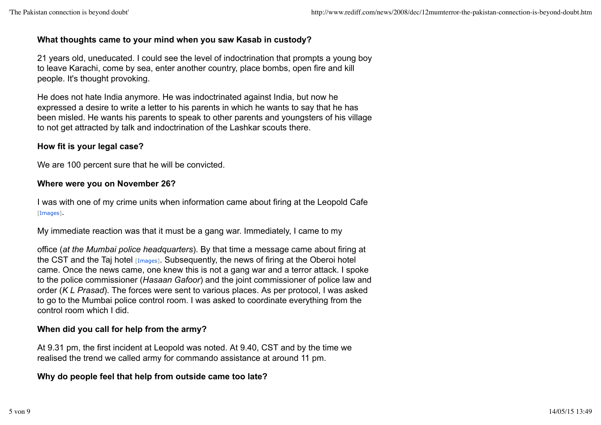### **What thoughts came to your mind when you saw Kasab in custody?**

21 years old, uneducated. I could see the level of indoctrination that prompts a young boy to leave Karachi, come by sea, enter another country, place bombs, open fire and kill people. It's thought provoking.

He does not hate India anymore. He was indoctrinated against India, but now he expressed a desire to write a letter to his parents in which he wants to say that he has been misled. He wants his parents to speak to other parents and youngsters of his village to not get attracted by talk and indoctrination of the Lashkar scouts there.

## **How fit is your legal case?**

We are 100 percent sure that he will be convicted.

#### **Where were you on November 26?**

I was with one of my crime units when information came about firing at the Leopold Cafe [Images].

My immediate reaction was that it must be a gang war. Immediately, I came to my

office (*at the Mumbai police headquarters*). By that time a message came about firing at the CST and the Taj hotel  $[Images]$ . Subsequently, the news of firing at the Oberoi hotel came. Once the news came, one knew this is not a gang war and a terror attack. I spoke to the police commissioner (*Hasaan Gafoor*) and the joint commissioner of police law and order (*K L Prasad*). The forces were sent to various places. As per protocol, I was asked to go to the Mumbai police control room. I was asked to coordinate everything from the control room which I did.

# **When did you call for help from the army?**

At 9.31 pm, the first incident at Leopold was noted. At 9.40, CST and by the time we realised the trend we called army for commando assistance at around 11 pm.

# **Why do people feel that help from outside came too late?**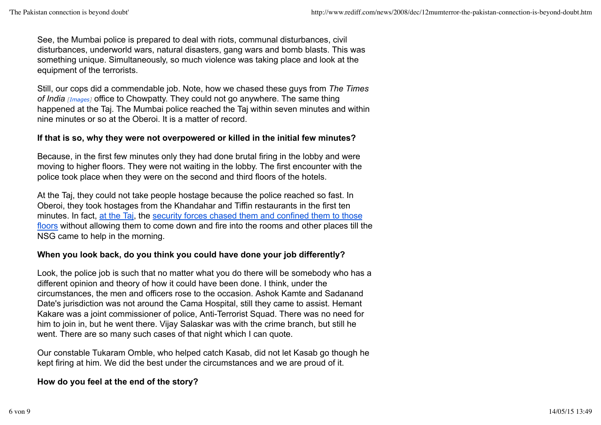See, the Mumbai police is prepared to deal with riots, communal disturbances, civil disturbances, underworld wars, natural disasters, gang wars and bomb blasts. This was something unique. Simultaneously, so much violence was taking place and look at the equipment of the terrorists.

Still, our cops did a commendable job. Note, how we chased these guys from *The Times of India [Images]* office to Chowpatty. They could not go anywhere. The same thing happened at the Taj. The Mumbai police reached the Taj within seven minutes and within nine minutes or so at the Oberoi. It is a matter of record.

#### **If that is so, why they were not overpowered or killed in the initial few minutes?**

Because, in the first few minutes only they had done brutal firing in the lobby and were moving to higher floors. They were not waiting in the lobby. The first encounter with the police took place when they were on the second and third floors of the hotels.

At the Taj, they could not take people hostage because the police reached so fast. In Oberoi, they took hostages from the Khandahar and Tiffin restaurants in the first ten minutes. In fact, at the Taj, the security forces chased them and confined them to those floors without allowing them to come down and fire into the rooms and other places till the NSG came to help in the morning.

#### **When you look back, do you think you could have done your job differently?**

Look, the police job is such that no matter what you do there will be somebody who has a different opinion and theory of how it could have been done. I think, under the circumstances, the men and officers rose to the occasion. Ashok Kamte and Sadanand Date's jurisdiction was not around the Cama Hospital, still they came to assist. Hemant Kakare was a joint commissioner of police, Anti-Terrorist Squad. There was no need for him to join in, but he went there. Vijay Salaskar was with the crime branch, but still he went. There are so many such cases of that night which I can quote.

Our constable Tukaram Omble, who helped catch Kasab, did not let Kasab go though he kept firing at him. We did the best under the circumstances and we are proud of it.

#### **How do you feel at the end of the story?**